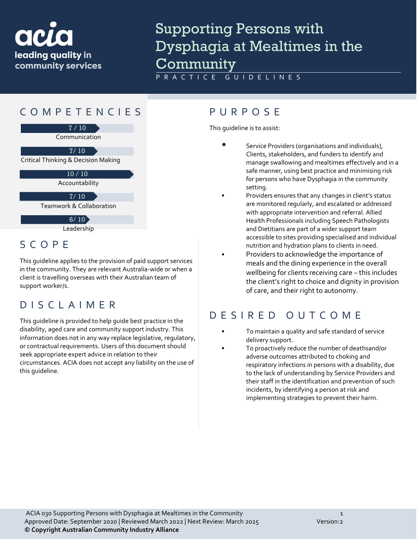

## Supporting Persons with Dysphagia at Mealtimes in the Community

PRACTICE GUIDELINES

### COMPETENCIES PURPOS E



### SCOPE

This guideline applies to the provision of paid support services in the community. They are relevant Australia-wide or when a client is travelling overseas with their Australian team of support worker/s.

#### DISCLAIMER

This guideline is provided to help guide best practice in the disability, aged care and community support industry. This information does not in any way replace legislative, regulatory, or contractual requirements. Users of this document should seek appropriate expert advice in relation to their circumstances. ACIA does not accept any liability on the use of this guideline.

This guideline is to assist:

- Service Providers (organisations and individuals), Clients, stakeholders, and funders to identify and manage swallowing and mealtimes effectively and in a safe manner, using best practice and minimising risk for persons who have Dysphagia in the community setting.
- Providers ensures that any changes in client's status are monitored regularly, and escalated or addressed with appropriate intervention and referral. Allied Health Professionals including Speech Pathologists and Dietitians are part of a wider support team accessible to sites providing specialised and individual nutrition and hydration plans to clients in need.
- Providers to acknowledge the importance of meals and the dining experience in the overall wellbeing for clients receiving care – this includes the client's right to choice and dignity in provision of care, and their right to autonomy.

### DESIRED OUTCOME

- To maintain a quality and safe standard of service delivery support.
- To proactively reduce the number of deathsand/or adverse outcomes attributed to choking and respiratory infections in persons with a disability, due to the lack of understanding by Service Providers and their staff in the identification and prevention of such incidents, by identifying a person at risk and implementing strategies to prevent their harm.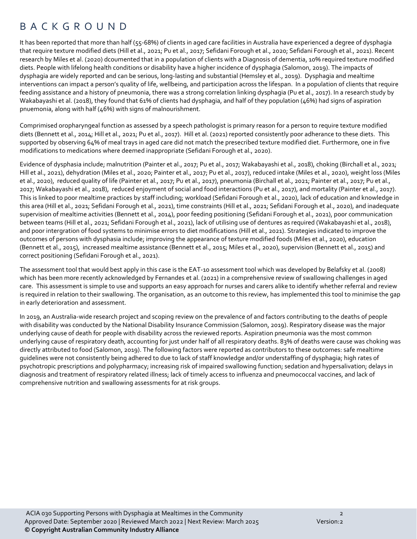#### BACKGROUND

It has been reported that more than half (55-68%) of clients in aged care facilities in Australia have experienced a degree of dysphagia that require texture modified diets (Hill et al., 2021; Pu et al., 2017; Sefidani Forough et al., 2020; Sefidani Forough et al., 2021). Recent research by Miles et al. (2020) dcoumented that in a population of clients with a Diagnosis of dementia, 10% required texture modified diets. People with lifelong health conditions or disability have a higher incidence of dysphagia (Salomon, 2019). The impacts of dysphagia are widely reported and can be serious, long-lasting and substantial (Hemsley et al., 2019). Dysphagia and mealtime interventions can impact a person's quality of life, wellbeing, and participation across the lifespan. In a population of clients that require feeding assistance and a history of pneumonia, there was a strong correlation linking dysphagia (Pu et al., 2017). In a research study by Wakabayashi et al. (2018), they found that 61% of clients had dysphagia, and half of they population (46%) had signs of aspiration pnuemonia, along with half (46%) with signs of malnourishment.

Comprimised oropharyngeal function as assessed by a speech pathologist is primary reason for a person to require texture modified diets (Bennett et al., 2014; Hill et al., 2021; Pu et al., 2017). Hill et al. (2021) reported consistently poor adherance to these diets. This supported by observing 64% of meal trays in aged care did not match the presecribed texture modified diet. Furthermore, one in five modifications to medications where deemed inappropriate (Sefidani Forough et al., 2020).

Evidence of dysphasia include; malnutrition (Painter et al., 2017; Pu et al., 2017; Wakabayashi et al., 2018), choking (Birchall et al., 2021; Hill et al., 2021), dehydration (Miles et al., 2020; Painter et al., 2017; Pu et al., 2017), reduced intake (Miles et al., 2020), weight loss (Miles et al., 2020), reduced quality of life (Painter et al., 2017; Pu et al., 2017), pneumonia (Birchall et al., 2021; Painter et al., 2017; Pu et al., 2017; Wakabayashi et al., 2018), reduced enjoyment of social and food interactions (Pu et al., 2017), and mortality (Painter et al., 2017). This is linked to poor mealtime practices by staff including; workload (Sefidani Forough et al., 2020), lack of education and knowledge in this area (Hill et al., 2021; Sefidani Forough et al., 2021), time constraints (Hill et al., 2021; Sefidani Forough et al., 2020), and inadequate supervision of mealtime activities (Bennett et al., 2014), poor feeding positioning (Sefidani Forough et al., 2021), poor communication between teams (Hill et al., 2021; Sefidani Forough et al., 2021), lack of utilising use of dentures as required (Wakabayashi et al., 2018), and poor intergration of food systems to minimise errors to diet modifications (Hill et al., 2021). Strategies indicated to improve the outcomes of persons with dysphasia include; improving the appearance of texture modified foods (Miles et al., 2020), education (Bennett et al., 2015), increased mealtime assistance (Bennett et al., 2015; Miles et al., 2020), supervision (Bennett et al., 2015) and correct positioning (Sefidani Forough et al., 2021).

The assessment tool that would best apply in this case is the EAT-10 assessment tool which was developed by Belafsky et al. (2008) which has been more recently acknowledged by Fernandes et al. (2021) in a comprehensive review of swallowing challenges in aged care. This assessment is simple to use and supports an easy approach for nurses and carers alike to identify whether referral and review is required in relation to their swallowing. The organisation, as an outcome to this review, has implemented this tool to minimise the gap in early deterioration and assessment.

In 2019, an Australia-wide research project and scoping review on the prevalence of and factors contributing to the deaths of people with disability was conducted by the National Disability Insurance Commission (Salomon, 2019). Respiratory disease was the major underlying cause of death for people with disability across the reviewed reports. Aspiration pneumonia was the most common underlying cause of respiratory death, accounting for just under half of all respiratory deaths. 83% of deaths were cause was choking was directly attributed to food (Salomon, 2019). The following factors were reported as contributors to these outcomes: safe mealtime guidelines were not consistently being adhered to due to lack of staff knowledge and/or understaffing of dysphagia; high rates of psychotropic prescriptions and polypharmacy; increasing risk of impaired swallowing function; sedation and hypersalivation; delays in diagnosis and treatment of respiratory related illness; lack of timely access to influenza and pneumococcal vaccines, and lack of comprehensive nutrition and swallowing assessments for at risk groups.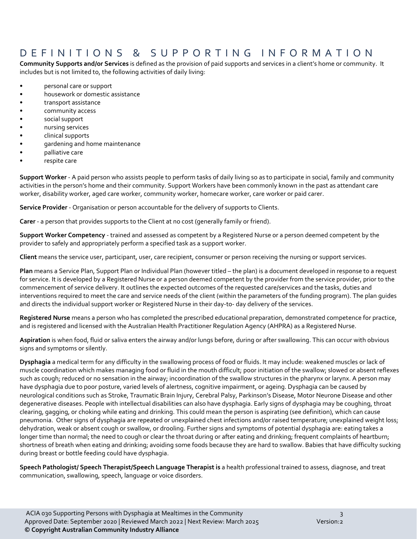### DEFINITIONS & SUPPORTING INFORMATIO N

**Community Supports and/or Services** is defined as the provision of paid supports and services in a client's home or community. It includes but is not limited to, the following activities of daily living:

- personal care or support
- housework or domestic assistance
- transport assistance
- community access
- social support
- nursing services
- clinical supports
- gardening and home maintenance
- palliative care
- respite care

**Support Worker** - A paid person who assists people to perform tasks of daily living so as to participate in social, family and community activities in the person's home and their community. Support Workers have been commonly known in the past as attendant care worker, disability worker, aged care worker, community worker, homecare worker, care worker or paid carer.

**Service Provider** - Organisation or person accountable for the delivery of supports to Clients.

**Carer** - a person that provides supports to the Client at no cost (generally family or friend).

**Support Worker Competency** - trained and assessed as competent by a Registered Nurse or a person deemed competent by the provider to safely and appropriately perform a specified task as a support worker.

**Client** means the service user, participant, user, care recipient, consumer or person receiving the nursing or support services.

**Plan** means a Service Plan, Support Plan or Individual Plan (however titled – the plan) is a document developed in response to a request for service. It is developed by a Registered Nurse or a person deemed competent by the provider from the service provider, prior to the commencement of service delivery. It outlines the expected outcomes of the requested care/services and the tasks, duties and interventions required to meet the care and service needs of the client (within the parameters of the funding program). The plan guides and directs the individual support worker or Registered Nurse in their day-to- day delivery of the services.

**Registered Nurse** means a person who has completed the prescribed educational preparation, demonstrated competence for practice, and is registered and licensed with the Australian Health Practitioner Regulation Agency (AHPRA) as a Registered Nurse.

**Aspiration** is when food, fluid or saliva enters the airway and/or lungs before, during or after swallowing. This can occur with obvious signs and symptoms or silently.

**Dysphagia** a medical term for any difficulty in the swallowing process of food or fluids. It may include: weakened muscles or lack of muscle coordination which makes managing food or fluid in the mouth difficult; poor initiation of the swallow; slowed or absent reflexes such as cough; reduced or no sensation in the airway; incoordination of the swallow structures in the pharynx or larynx. A person may have dysphagia due to poor posture, varied levels of alertness, cognitive impairment, or ageing. Dysphagia can be caused by neurological conditions such as Stroke, Traumatic Brain Injury, Cerebral Palsy, Parkinson's Disease, Motor Neurone Disease and other degenerative diseases. People with intellectual disabilities can also have dysphagia. Early signs of dysphagia may be coughing, throat clearing, gagging, or choking while eating and drinking. This could mean the person is aspirating (see definition), which can cause pneumonia. Other signs of dysphagia are repeated or unexplained chest infections and/or raised temperature; unexplained weight loss; dehydration, weak or absent cough or swallow, or drooling. Further signs and symptoms of potential dysphagia are: eating takes a longer time than normal; the need to cough or clear the throat during or after eating and drinking; frequent complaints of heartburn; shortness of breath when eating and drinking; avoiding some foods because they are hard to swallow. Babies that have difficulty sucking during breast or bottle feeding could have dysphagia.

**Speech Pathologist/ Speech Therapist/Speech Language Therapist is** a health professional trained to assess, diagnose, and treat communication, swallowing, speech, language or voice disorders.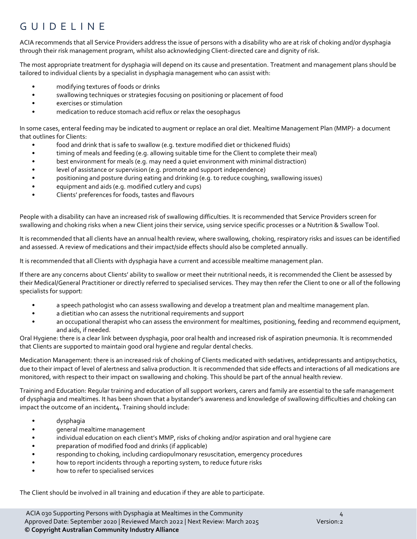### GUIDELINE

ACIA recommends that all Service Providers address the issue of persons with a disability who are at risk of choking and/or dysphagia through their risk management program, whilst also acknowledging Client-directed care and dignity of risk.

The most appropriate treatment for dysphagia will depend on its cause and presentation. Treatment and management plans should be tailored to individual clients by a specialist in dysphagia management who can assist with:

- modifying textures of foods or drinks
- swallowing techniques or strategies focusing on positioning or placement of food
- exercises or stimulation
- medication to reduce stomach acid reflux or relax the oesophagus

In some cases, enteral feeding may be indicated to augment or replace an oral diet. Mealtime Management Plan (MMP)- a document that outlines for Clients:

- food and drink that is safe to swallow (e.g. texture modified diet or thickened fluids)
- timing of meals and feeding (e.g. allowing suitable time for the Client to complete their meal)
- best environment for meals (e.g. may need a quiet environment with minimal distraction)
- level of assistance or supervision (e.g. promote and support independence)
- positioning and posture during eating and drinking (e.g. to reduce coughing, swallowing issues)
- equipment and aids (e.g. modified cutlery and cups)
- Clients' preferences for foods, tastes and flavours

People with a disability can have an increased risk of swallowing difficulties. It is recommended that Service Providers screen for swallowing and choking risks when a new Client joins their service, using service specific processes or a Nutrition & Swallow Tool.

It is recommended that all clients have an annual health review, where swallowing, choking, respiratory risks and issues can be identified and assessed. A review of medications and their impact/side effects should also be completed annually.

It is recommended that all Clients with dysphagia have a current and accessible mealtime management plan.

If there are any concerns about Clients' ability to swallow or meet their nutritional needs, it is recommended the Client be assessed by their Medical/General Practitioner or directly referred to specialised services. They may then refer the Client to one or all of the following specialists for support:

- a speech pathologist who can assess swallowing and develop a treatment plan and mealtime management plan.
- a dietitian who can assess the nutritional requirements and support
- an occupational therapist who can assess the environment for mealtimes, positioning, feeding and recommend equipment, and aids, if needed.

Oral Hygiene: there is a clear link between dysphagia, poor oral health and increased risk of aspiration pneumonia. It is recommended that Clients are supported to maintain good oral hygiene and regular dental checks.

Medication Management: there is an increased risk of choking of Clients medicated with sedatives, antidepressants and antipsychotics, due to their impact of level of alertness and saliva production. It is recommended that side effects and interactions of all medications are monitored, with respect to their impact on swallowing and choking. This should be part of the annual health review.

Training and Education: Regular training and education of all support workers, carers and family are essential to the safe management of dysphagia and mealtimes. It has been shown that a bystander's awareness and knowledge of swallowing difficulties and choking can impact the outcome of an incident4. Training should include:

- dysphagia
- general mealtime management
- individual education on each client's MMP, risks of choking and/or aspiration and oral hygiene care
- preparation of modified food and drinks (if applicable)
- responding to choking, including cardiopulmonary resuscitation, emergency procedures
- how to report incidents through a reporting system, to reduce future risks
- how to refer to specialised services

The Client should be involved in all training and education if they are able to participate.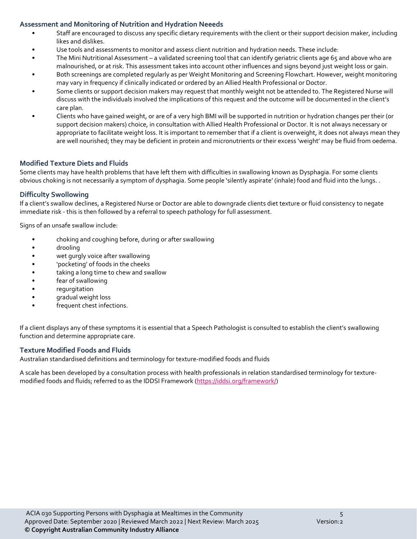#### **Assessment and Monitoring of Nutrition and Hydration Neeeds**

- Staff are encouraged to discuss any specific dietary requirements with the client or their support decision maker, including likes and dislikes.
- Use tools and assessments to monitor and assess client nutrition and hydration needs. These include:
- The Mini Nutritional Assessment a validated screening tool that can identify geriatric clients age 65 and above who are malnourished, or at risk. This assessment takes into account other influences and signs beyond just weight loss or gain.
- Both screenings are completed regularly as per Weight Monitoring and Screening Flowchart. However, weight monitoring may vary in frequency if clinically indicated or ordered by an Allied Health Professional or Doctor.
- Some clients or support decision makers may request that monthly weight not be attended to. The Registered Nurse will discuss with the individuals involved the implications of this request and the outcome will be documented in the client's care plan.
- Clients who have gained weight, or are of a very high BMI will be supported in nutrition or hydration changes per their (or support decision makers) choice, in consultation with Allied Health Professional or Doctor. It is not always necessary or appropriate to facilitate weight loss. It is important to remember that if a client is overweight, it does not always mean they are well nourished; they may be deficient in protein and micronutrients or their excess 'weight' may be fluid from oedema.

#### **Modified Texture Diets and Fluids**

Some clients may have health problems that have left them with difficulties in swallowing known as Dysphagia. For some clients obvious choking is not necessarily a symptom of dysphagia. Some people 'silently aspirate' (inhale) food and fluid into the lungs. .

#### **Difficulty Swollowing**

If a client's swallow declines, a Registered Nurse or Doctor are able to downgrade clients diet texture or fluid consistency to negate immediate risk - this is then followed by a referral to speech pathology for full assessment.

Signs of an unsafe swallow include:

- choking and coughing before, during or after swallowing
- drooling
- wet gurgly voice after swallowing
- 'pocketing' of foods in the cheeks
- taking a long time to chew and swallow
- fear of swallowing
- regurgitation
- gradual weight loss
- frequent chest infections.

If a client displays any of these symptoms it is essential that a Speech Pathologist is consulted to establish the client's swallowing function and determine appropriate care.

#### **Texture Modified Foods and Fluids**

Australian standardised definitions and terminology for texture-modified foods and fluids

A scale has been developed by a consultation process with health professionals in relation standardised terminology for texture-modified foods and fluids; referred to as the IDDSI Framework [\(https://iddsi.org/framework/\)](https://iddsi.org/framework/)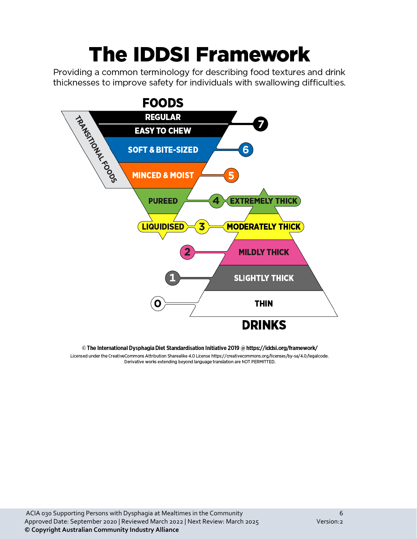# **The IDDSI Framework**

Providing a common terminology for describing food textures and drink thicknesses to improve safety for individuals with swallowing difficulties.



#### © The International Dysphagia Diet Standardisation Initiative 2019 @ https://iddsi.org/framework/

Licensed under the CreativeCommons Attribution Sharealike 4.0 License https://creativecommons.org/licenses/by-sa/4.0/legalcode. Derivative works extending beyond language translation are NOT PERMITTED.